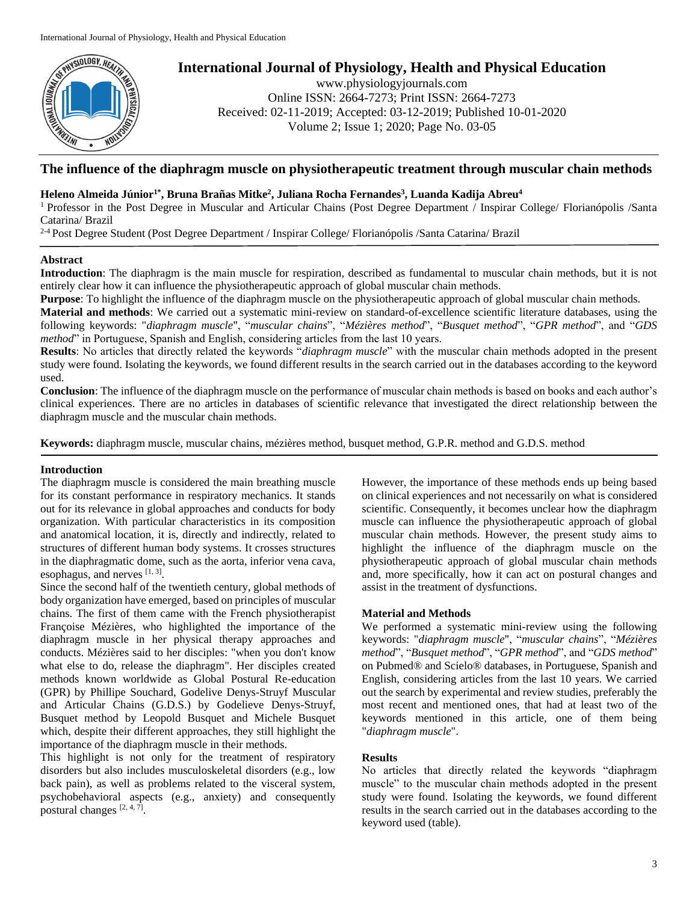

# **International Journal of Physiology, Health and Physical Education**

www.physiologyjournals.com Online ISSN: 2664-7273; Print ISSN: 2664-7273 Received: 02-11-2019; Accepted: 03-12-2019; Published 10-01-2020 Volume 2; Issue 1; 2020; Page No. 03-05

# **The influence of the diaphragm muscle on physiotherapeutic treatment through muscular chain methods**

# **Heleno Almeida Júnior1\* , Bruna Brañas Mitke<sup>2</sup> , Juliana Rocha Fernandes<sup>3</sup> , Luanda Kadija Abreu<sup>4</sup>**

<sup>1</sup> Professor in the Post Degree in Muscular and Articular Chains (Post Degree Department / Inspirar College/ Florianópolis /Santa Catarina/ Brazil

2-4 Post Degree Student (Post Degree Department / Inspirar College/ Florianópolis /Santa Catarina/ Brazil

### **Abstract**

**Introduction**: The diaphragm is the main muscle for respiration, described as fundamental to muscular chain methods, but it is not entirely clear how it can influence the physiotherapeutic approach of global muscular chain methods.

**Purpose**: To highlight the influence of the diaphragm muscle on the physiotherapeutic approach of global muscular chain methods.

**Material and methods**: We carried out a systematic mini-review on standard-of-excellence scientific literature databases, using the following keywords: "*diaphragm muscle*", "*muscular chains*", "*Mézières method*", "*Busquet method*", "*GPR method*", and "*GDS method*" in Portuguese, Spanish and English, considering articles from the last 10 years.

**Results**: No articles that directly related the keywords "*diaphragm muscle*" with the muscular chain methods adopted in the present study were found. Isolating the keywords, we found different results in the search carried out in the databases according to the keyword used.

**Conclusion**: The influence of the diaphragm muscle on the performance of muscular chain methods is based on books and each author's clinical experiences. There are no articles in databases of scientific relevance that investigated the direct relationship between the diaphragm muscle and the muscular chain methods.

**Keywords:** diaphragm muscle, muscular chains, mézières method, busquet method, G.P.R. method and G.D.S. method

# **Introduction**

The diaphragm muscle is considered the main breathing muscle for its constant performance in respiratory mechanics. It stands out for its relevance in global approaches and conducts for body organization. With particular characteristics in its composition and anatomical location, it is, directly and indirectly, related to structures of different human body systems. It crosses structures in the diaphragmatic dome, such as the aorta, inferior vena cava, esophagus, and nerves  $[1, 3]$ .

Since the second half of the twentieth century, global methods of body organization have emerged, based on principles of muscular chains. The first of them came with the French physiotherapist Françoise Mézières, who highlighted the importance of the diaphragm muscle in her physical therapy approaches and conducts. Mézières said to her disciples: "when you don't know what else to do, release the diaphragm". Her disciples created methods known worldwide as Global Postural Re-education (GPR) by Phillipe Souchard, Godelive Denys-Struyf Muscular and Articular Chains (G.D.S.) by Godelieve Denys-Struyf, Busquet method by Leopold Busquet and Michele Busquet which, despite their different approaches, they still highlight the importance of the diaphragm muscle in their methods.

This highlight is not only for the treatment of respiratory disorders but also includes musculoskeletal disorders (e.g., low back pain), as well as problems related to the visceral system, psychobehavioral aspects (e.g., anxiety) and consequently postural changes [2, 4, 7].

However, the importance of these methods ends up being based on clinical experiences and not necessarily on what is considered scientific. Consequently, it becomes unclear how the diaphragm muscle can influence the physiotherapeutic approach of global muscular chain methods. However, the present study aims to highlight the influence of the diaphragm muscle on the physiotherapeutic approach of global muscular chain methods and, more specifically, how it can act on postural changes and assist in the treatment of dysfunctions.

# **Material and Methods**

We performed a systematic mini-review using the following keywords: "*diaphragm muscle*", "*muscular chains*", "*Mézières method*", "*Busquet method*", "*GPR method*", and "*GDS method*" on Pubmed® and Scielo® databases, in Portuguese, Spanish and English, considering articles from the last 10 years. We carried out the search by experimental and review studies, preferably the most recent and mentioned ones, that had at least two of the keywords mentioned in this article, one of them being "*diaphragm muscle*".

# **Results**

No articles that directly related the keywords "diaphragm muscle" to the muscular chain methods adopted in the present study were found. Isolating the keywords, we found different results in the search carried out in the databases according to the keyword used (table).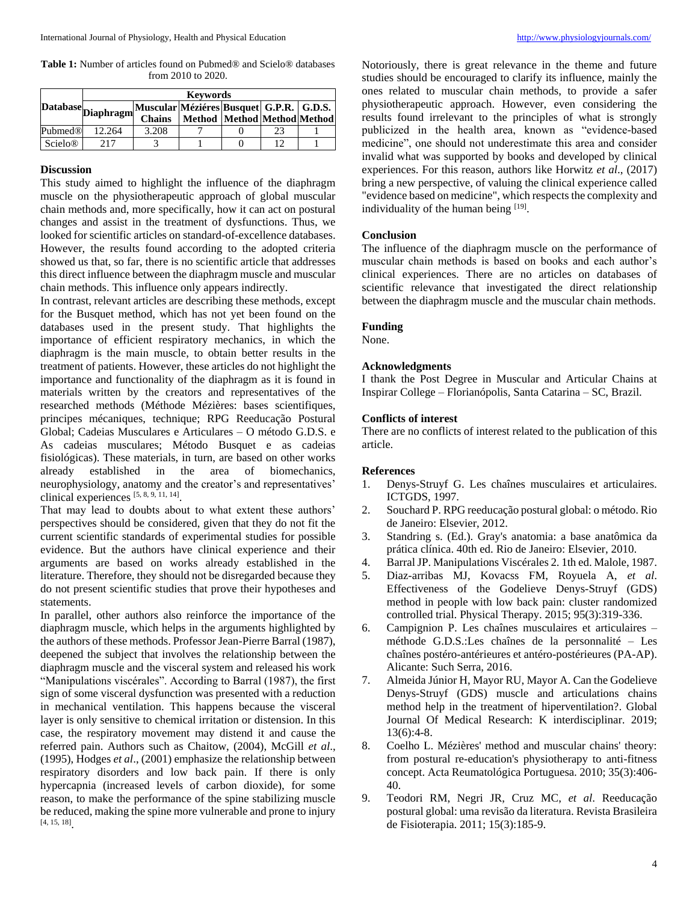**Table 1:** Number of articles found on Pubmed® and Scielo® databases from 2010 to 2020.

|                           | <b>Keywords</b>    |                                           |                             |  |    |  |
|---------------------------|--------------------|-------------------------------------------|-----------------------------|--|----|--|
|                           | Database Diaphragm | Muscular Méziéres Busquet G.P.R.   G.D.S. |                             |  |    |  |
|                           |                    | <b>Chains</b>                             | Method Method Method Method |  |    |  |
| Pubmed®                   | 12.264             | 3.208                                     |                             |  | 23 |  |
| <b>Scielo<sup>®</sup></b> | 217                |                                           |                             |  |    |  |

#### **Discussion**

This study aimed to highlight the influence of the diaphragm muscle on the physiotherapeutic approach of global muscular chain methods and, more specifically, how it can act on postural changes and assist in the treatment of dysfunctions. Thus, we looked for scientific articles on standard-of-excellence databases. However, the results found according to the adopted criteria showed us that, so far, there is no scientific article that addresses this direct influence between the diaphragm muscle and muscular chain methods. This influence only appears indirectly.

In contrast, relevant articles are describing these methods, except for the Busquet method, which has not yet been found on the databases used in the present study. That highlights the importance of efficient respiratory mechanics, in which the diaphragm is the main muscle, to obtain better results in the treatment of patients. However, these articles do not highlight the importance and functionality of the diaphragm as it is found in materials written by the creators and representatives of the researched methods (Méthode Mézières: bases scientifiques, principes mécaniques, technique; RPG Reeducação Postural Global; Cadeias Musculares e Articulares – O método G.D.S. e As cadeias musculares; Método Busquet e as cadeias fisiológicas). These materials, in turn, are based on other works already established in the area of biomechanics, neurophysiology, anatomy and the creator's and representatives' clinical experiences [5, 8, 9, 11, 14] .

That may lead to doubts about to what extent these authors' perspectives should be considered, given that they do not fit the current scientific standards of experimental studies for possible evidence. But the authors have clinical experience and their arguments are based on works already established in the literature. Therefore, they should not be disregarded because they do not present scientific studies that prove their hypotheses and statements.

In parallel, other authors also reinforce the importance of the diaphragm muscle, which helps in the arguments highlighted by the authors of these methods. Professor Jean-Pierre Barral (1987), deepened the subject that involves the relationship between the diaphragm muscle and the visceral system and released his work "Manipulations viscérales". According to Barral (1987), the first sign of some visceral dysfunction was presented with a reduction in mechanical ventilation. This happens because the visceral layer is only sensitive to chemical irritation or distension. In this case, the respiratory movement may distend it and cause the referred pain. Authors such as Chaitow, (2004), McGill *et al*., (1995), Hodges *et al*., (2001) emphasize the relationship between respiratory disorders and low back pain. If there is only hypercapnia (increased levels of carbon dioxide), for some reason, to make the performance of the spine stabilizing muscle be reduced, making the spine more vulnerable and prone to injury [4, 15, 18] .

Notoriously, there is great relevance in the theme and future studies should be encouraged to clarify its influence, mainly the ones related to muscular chain methods, to provide a safer physiotherapeutic approach. However, even considering the results found irrelevant to the principles of what is strongly publicized in the health area, known as "evidence-based medicine", one should not underestimate this area and consider invalid what was supported by books and developed by clinical experiences. For this reason, authors like Horwitz *et al*., (2017) bring a new perspective, of valuing the clinical experience called "evidence based on medicine", which respects the complexity and individuality of the human being [19].

#### **Conclusion**

The influence of the diaphragm muscle on the performance of muscular chain methods is based on books and each author's clinical experiences. There are no articles on databases of scientific relevance that investigated the direct relationship between the diaphragm muscle and the muscular chain methods.

#### **Funding**

None.

#### **Acknowledgments**

I thank the Post Degree in Muscular and Articular Chains at Inspirar College – Florianópolis, Santa Catarina – SC, Brazil.

#### **Conflicts of interest**

There are no conflicts of interest related to the publication of this article.

#### **References**

- 1. Denys-Struyf G. Les chaînes musculaires et articulaires. ICTGDS, 1997.
- 2. Souchard P. RPG reeducação postural global: o método. Rio de Janeiro: Elsevier, 2012.
- 3. Standring s. (Ed.). Gray's anatomia: a base anatômica da prática clínica. 40th ed. Rio de Janeiro: Elsevier, 2010.
- 4. Barral JP. Manipulations Viscérales 2. 1th ed. Malole, 1987.
- 5. Diaz-arribas MJ, Kovacss FM, Royuela A, *et al*. Effectiveness of the Godelieve Denys-Struyf (GDS) method in people with low back pain: cluster randomized controlled trial. Physical Therapy. 2015; 95(3):319-336.
- 6. Campignion P. Les chaînes musculaires et articulaires méthode G.D.S.:Les chaînes de la personnalité – Les chaînes postéro-antérieures et antéro-postérieures (PA-AP). Alicante: Such Serra, 2016.
- 7. Almeida Júnior H, Mayor RU, Mayor A. Can the Godelieve Denys-Struyf (GDS) muscle and articulations chains method help in the treatment of hiperventilation?. Global Journal Of Medical Research: K interdisciplinar. 2019; 13(6):4-8.
- 8. Coelho L. Mézières' method and muscular chains' theory: from postural re-education's physiotherapy to anti-fitness concept. Acta Reumatológica Portuguesa. 2010; 35(3):406- 40.
- 9. Teodori RM, Negri JR, Cruz MC, *et al*. Reeducação postural global: uma revisão da literatura. Revista Brasileira de Fisioterapia. 2011; 15(3):185-9.